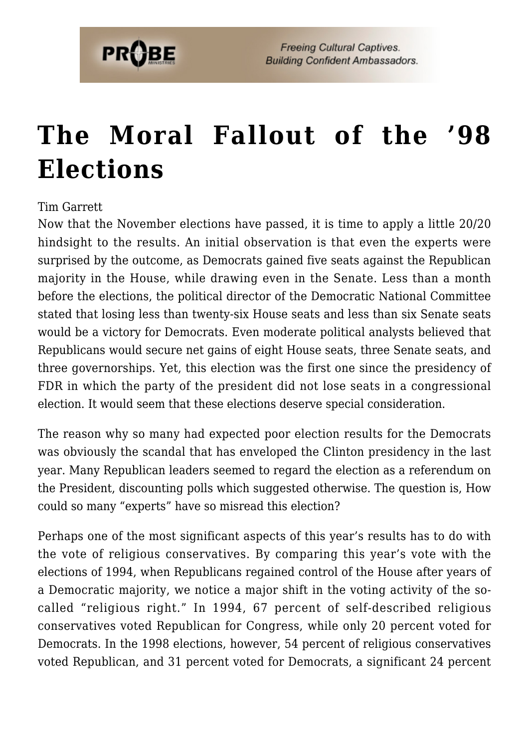

# **[The Moral Fallout of the '98](https://probe.org/the-moral-fallout-of-the-98-elections/) [Elections](https://probe.org/the-moral-fallout-of-the-98-elections/)**

#### Tim Garrett

Now that the November elections have passed, it is time to apply a little 20/20 hindsight to the results. An initial observation is that even the experts were surprised by the outcome, as Democrats gained five seats against the Republican majority in the House, while drawing even in the Senate. Less than a month before the elections, the political director of the Democratic National Committee stated that losing less than twenty-six House seats and less than six Senate seats would be a victory for Democrats. Even moderate political analysts believed that Republicans would secure net gains of eight House seats, three Senate seats, and three governorships. Yet, this election was the first one since the presidency of FDR in which the party of the president did not lose seats in a congressional election. It would seem that these elections deserve special consideration.

The reason why so many had expected poor election results for the Democrats was obviously the scandal that has enveloped the Clinton presidency in the last year. Many Republican leaders seemed to regard the election as a referendum on the President, discounting polls which suggested otherwise. The question is, How could so many "experts" have so misread this election?

Perhaps one of the most significant aspects of this year's results has to do with the vote of religious conservatives. By comparing this year's vote with the elections of 1994, when Republicans regained control of the House after years of a Democratic majority, we notice a major shift in the voting activity of the socalled "religious right." In 1994, 67 percent of self-described religious conservatives voted Republican for Congress, while only 20 percent voted for Democrats. In the 1998 elections, however, 54 percent of religious conservatives voted Republican, and 31 percent voted for Democrats, a significant 24 percent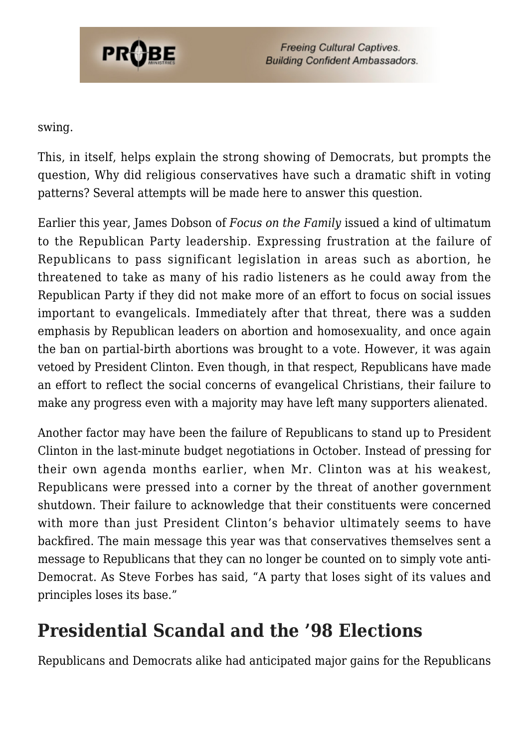

#### swing.

This, in itself, helps explain the strong showing of Democrats, but prompts the question, Why did religious conservatives have such a dramatic shift in voting patterns? Several attempts will be made here to answer this question.

Earlier this year, James Dobson of *Focus on the Family* issued a kind of ultimatum to the Republican Party leadership. Expressing frustration at the failure of Republicans to pass significant legislation in areas such as abortion, he threatened to take as many of his radio listeners as he could away from the Republican Party if they did not make more of an effort to focus on social issues important to evangelicals. Immediately after that threat, there was a sudden emphasis by Republican leaders on abortion and homosexuality, and once again the ban on partial-birth abortions was brought to a vote. However, it was again vetoed by President Clinton. Even though, in that respect, Republicans have made an effort to reflect the social concerns of evangelical Christians, their failure to make any progress even with a majority may have left many supporters alienated.

Another factor may have been the failure of Republicans to stand up to President Clinton in the last-minute budget negotiations in October. Instead of pressing for their own agenda months earlier, when Mr. Clinton was at his weakest, Republicans were pressed into a corner by the threat of another government shutdown. Their failure to acknowledge that their constituents were concerned with more than just President Clinton's behavior ultimately seems to have backfired. The main message this year was that conservatives themselves sent a message to Republicans that they can no longer be counted on to simply vote anti-Democrat. As Steve Forbes has said, "A party that loses sight of its values and principles loses its base."

## **Presidential Scandal and the '98 Elections**

Republicans and Democrats alike had anticipated major gains for the Republicans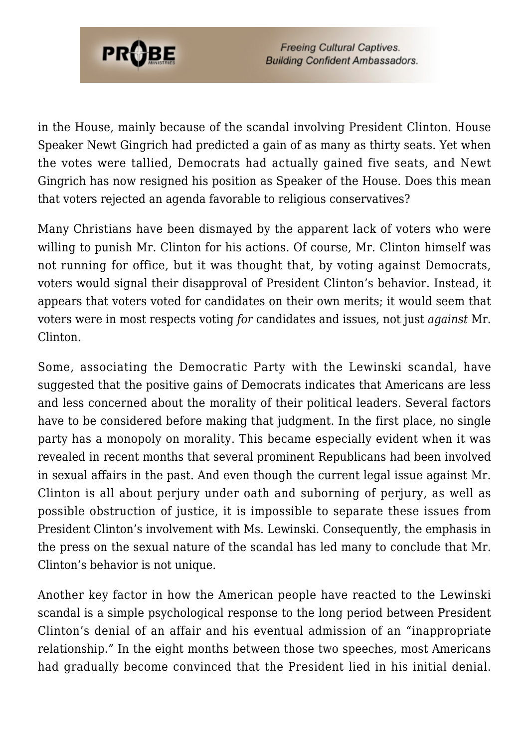

in the House, mainly because of the scandal involving President Clinton. House Speaker Newt Gingrich had predicted a gain of as many as thirty seats. Yet when the votes were tallied, Democrats had actually gained five seats, and Newt Gingrich has now resigned his position as Speaker of the House. Does this mean that voters rejected an agenda favorable to religious conservatives?

Many Christians have been dismayed by the apparent lack of voters who were willing to punish Mr. Clinton for his actions. Of course, Mr. Clinton himself was not running for office, but it was thought that, by voting against Democrats, voters would signal their disapproval of President Clinton's behavior. Instead, it appears that voters voted for candidates on their own merits; it would seem that voters were in most respects voting *for* candidates and issues, not just *against* Mr. Clinton.

Some, associating the Democratic Party with the Lewinski scandal, have suggested that the positive gains of Democrats indicates that Americans are less and less concerned about the morality of their political leaders. Several factors have to be considered before making that judgment. In the first place, no single party has a monopoly on morality. This became especially evident when it was revealed in recent months that several prominent Republicans had been involved in sexual affairs in the past. And even though the current legal issue against Mr. Clinton is all about perjury under oath and suborning of perjury, as well as possible obstruction of justice, it is impossible to separate these issues from President Clinton's involvement with Ms. Lewinski. Consequently, the emphasis in the press on the sexual nature of the scandal has led many to conclude that Mr. Clinton's behavior is not unique.

Another key factor in how the American people have reacted to the Lewinski scandal is a simple psychological response to the long period between President Clinton's denial of an affair and his eventual admission of an "inappropriate relationship." In the eight months between those two speeches, most Americans had gradually become convinced that the President lied in his initial denial.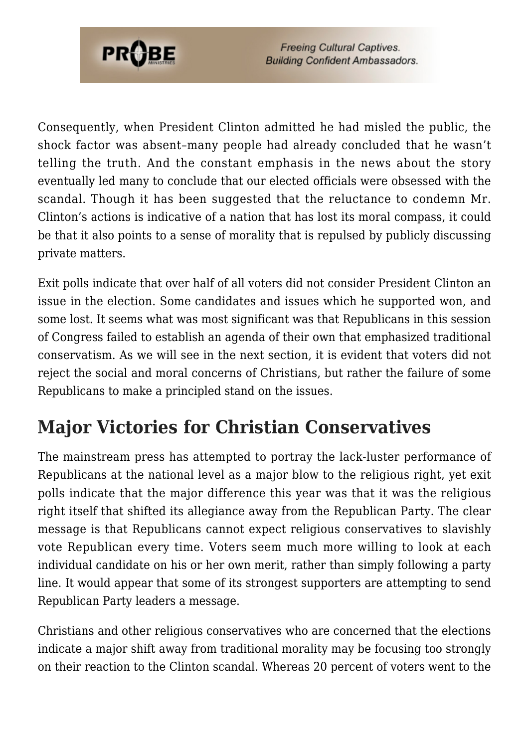

Consequently, when President Clinton admitted he had misled the public, the shock factor was absent–many people had already concluded that he wasn't telling the truth. And the constant emphasis in the news about the story eventually led many to conclude that our elected officials were obsessed with the scandal. Though it has been suggested that the reluctance to condemn Mr. Clinton's actions is indicative of a nation that has lost its moral compass, it could be that it also points to a sense of morality that is repulsed by publicly discussing private matters.

Exit polls indicate that over half of all voters did not consider President Clinton an issue in the election. Some candidates and issues which he supported won, and some lost. It seems what was most significant was that Republicans in this session of Congress failed to establish an agenda of their own that emphasized traditional conservatism. As we will see in the next section, it is evident that voters did not reject the social and moral concerns of Christians, but rather the failure of some Republicans to make a principled stand on the issues.

# **Major Victories for Christian Conservatives**

The mainstream press has attempted to portray the lack-luster performance of Republicans at the national level as a major blow to the religious right, yet exit polls indicate that the major difference this year was that it was the religious right itself that shifted its allegiance away from the Republican Party. The clear message is that Republicans cannot expect religious conservatives to slavishly vote Republican every time. Voters seem much more willing to look at each individual candidate on his or her own merit, rather than simply following a party line. It would appear that some of its strongest supporters are attempting to send Republican Party leaders a message.

Christians and other religious conservatives who are concerned that the elections indicate a major shift away from traditional morality may be focusing too strongly on their reaction to the Clinton scandal. Whereas 20 percent of voters went to the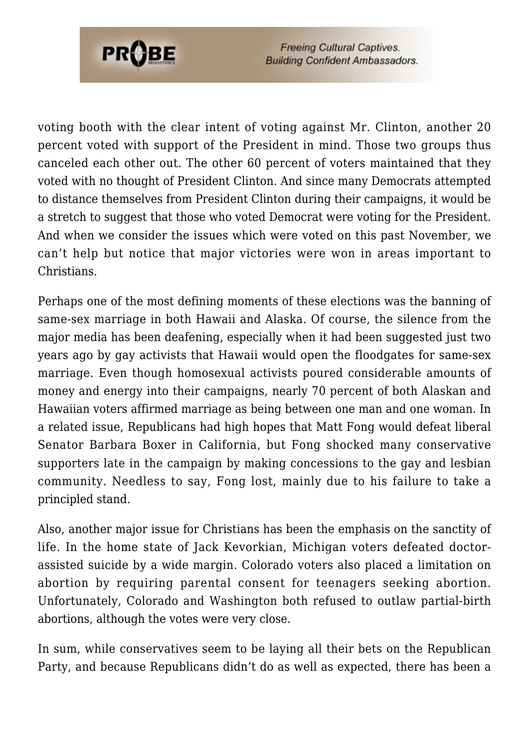

voting booth with the clear intent of voting against Mr. Clinton, another 20 percent voted with support of the President in mind. Those two groups thus canceled each other out. The other 60 percent of voters maintained that they voted with no thought of President Clinton. And since many Democrats attempted to distance themselves from President Clinton during their campaigns, it would be a stretch to suggest that those who voted Democrat were voting for the President. And when we consider the issues which were voted on this past November, we can't help but notice that major victories were won in areas important to Christians.

Perhaps one of the most defining moments of these elections was the banning of same-sex marriage in both Hawaii and Alaska. Of course, the silence from the major media has been deafening, especially when it had been suggested just two years ago by gay activists that Hawaii would open the floodgates for same-sex marriage. Even though homosexual activists poured considerable amounts of money and energy into their campaigns, nearly 70 percent of both Alaskan and Hawaiian voters affirmed marriage as being between one man and one woman. In a related issue, Republicans had high hopes that Matt Fong would defeat liberal Senator Barbara Boxer in California, but Fong shocked many conservative supporters late in the campaign by making concessions to the gay and lesbian community. Needless to say, Fong lost, mainly due to his failure to take a principled stand.

Also, another major issue for Christians has been the emphasis on the sanctity of life. In the home state of Jack Kevorkian, Michigan voters defeated doctorassisted suicide by a wide margin. Colorado voters also placed a limitation on abortion by requiring parental consent for teenagers seeking abortion. Unfortunately, Colorado and Washington both refused to outlaw partial-birth abortions, although the votes were very close.

In sum, while conservatives seem to be laying all their bets on the Republican Party, and because Republicans didn't do as well as expected, there has been a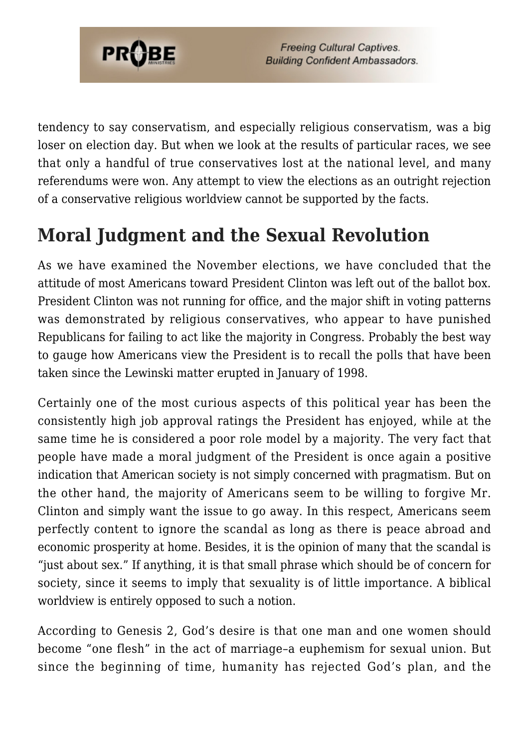

tendency to say conservatism, and especially religious conservatism, was a big loser on election day. But when we look at the results of particular races, we see that only a handful of true conservatives lost at the national level, and many referendums were won. Any attempt to view the elections as an outright rejection of a conservative religious worldview cannot be supported by the facts.

## **Moral Judgment and the Sexual Revolution**

As we have examined the November elections, we have concluded that the attitude of most Americans toward President Clinton was left out of the ballot box. President Clinton was not running for office, and the major shift in voting patterns was demonstrated by religious conservatives, who appear to have punished Republicans for failing to act like the majority in Congress. Probably the best way to gauge how Americans view the President is to recall the polls that have been taken since the Lewinski matter erupted in January of 1998.

Certainly one of the most curious aspects of this political year has been the consistently high job approval ratings the President has enjoyed, while at the same time he is considered a poor role model by a majority. The very fact that people have made a moral judgment of the President is once again a positive indication that American society is not simply concerned with pragmatism. But on the other hand, the majority of Americans seem to be willing to forgive Mr. Clinton and simply want the issue to go away. In this respect, Americans seem perfectly content to ignore the scandal as long as there is peace abroad and economic prosperity at home. Besides, it is the opinion of many that the scandal is "just about sex." If anything, it is that small phrase which should be of concern for society, since it seems to imply that sexuality is of little importance. A biblical worldview is entirely opposed to such a notion.

According to Genesis 2, God's desire is that one man and one women should become "one flesh" in the act of marriage–a euphemism for sexual union. But since the beginning of time, humanity has rejected God's plan, and the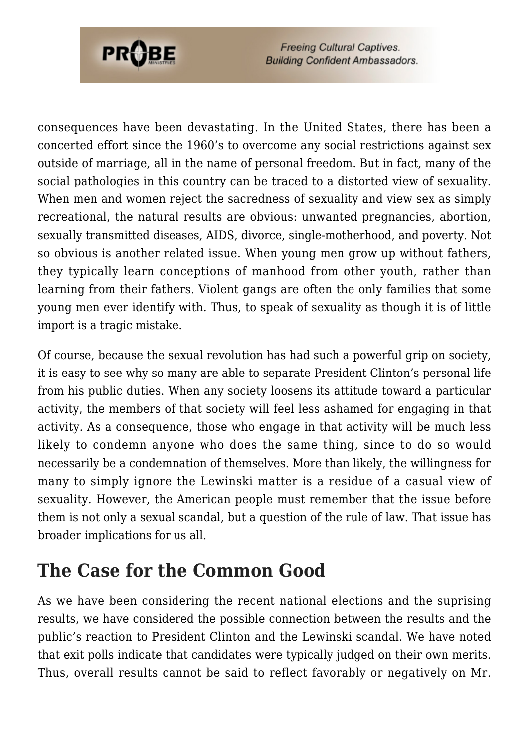

consequences have been devastating. In the United States, there has been a concerted effort since the 1960's to overcome any social restrictions against sex outside of marriage, all in the name of personal freedom. But in fact, many of the social pathologies in this country can be traced to a distorted view of sexuality. When men and women reject the sacredness of sexuality and view sex as simply recreational, the natural results are obvious: unwanted pregnancies, abortion, sexually transmitted diseases, AIDS, divorce, single-motherhood, and poverty. Not so obvious is another related issue. When young men grow up without fathers, they typically learn conceptions of manhood from other youth, rather than learning from their fathers. Violent gangs are often the only families that some young men ever identify with. Thus, to speak of sexuality as though it is of little import is a tragic mistake.

Of course, because the sexual revolution has had such a powerful grip on society, it is easy to see why so many are able to separate President Clinton's personal life from his public duties. When any society loosens its attitude toward a particular activity, the members of that society will feel less ashamed for engaging in that activity. As a consequence, those who engage in that activity will be much less likely to condemn anyone who does the same thing, since to do so would necessarily be a condemnation of themselves. More than likely, the willingness for many to simply ignore the Lewinski matter is a residue of a casual view of sexuality. However, the American people must remember that the issue before them is not only a sexual scandal, but a question of the rule of law. That issue has broader implications for us all.

## **The Case for the Common Good**

As we have been considering the recent national elections and the suprising results, we have considered the possible connection between the results and the public's reaction to President Clinton and the Lewinski scandal. We have noted that exit polls indicate that candidates were typically judged on their own merits. Thus, overall results cannot be said to reflect favorably or negatively on Mr.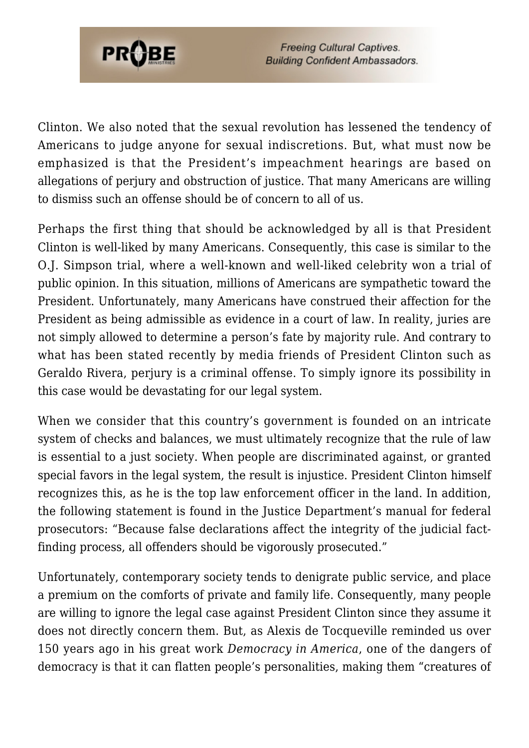

Clinton. We also noted that the sexual revolution has lessened the tendency of Americans to judge anyone for sexual indiscretions. But, what must now be emphasized is that the President's impeachment hearings are based on allegations of perjury and obstruction of justice. That many Americans are willing to dismiss such an offense should be of concern to all of us.

Perhaps the first thing that should be acknowledged by all is that President Clinton is well-liked by many Americans. Consequently, this case is similar to the O.J. Simpson trial, where a well-known and well-liked celebrity won a trial of public opinion. In this situation, millions of Americans are sympathetic toward the President. Unfortunately, many Americans have construed their affection for the President as being admissible as evidence in a court of law. In reality, juries are not simply allowed to determine a person's fate by majority rule. And contrary to what has been stated recently by media friends of President Clinton such as Geraldo Rivera, perjury is a criminal offense. To simply ignore its possibility in this case would be devastating for our legal system.

When we consider that this country's government is founded on an intricate system of checks and balances, we must ultimately recognize that the rule of law is essential to a just society. When people are discriminated against, or granted special favors in the legal system, the result is injustice. President Clinton himself recognizes this, as he is the top law enforcement officer in the land. In addition, the following statement is found in the Justice Department's manual for federal prosecutors: "Because false declarations affect the integrity of the judicial factfinding process, all offenders should be vigorously prosecuted."

Unfortunately, contemporary society tends to denigrate public service, and place a premium on the comforts of private and family life. Consequently, many people are willing to ignore the legal case against President Clinton since they assume it does not directly concern them. But, as Alexis de Tocqueville reminded us over 150 years ago in his great work *Democracy in America*, one of the dangers of democracy is that it can flatten people's personalities, making them "creatures of